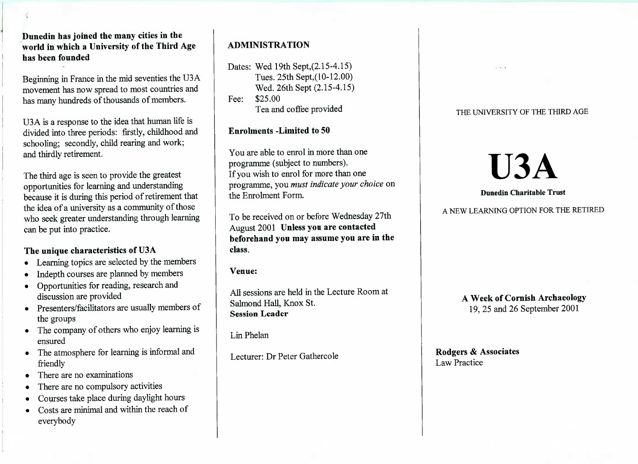**Dunedin has joined the many cities in the world in which a University of the Third Agehas been founded**

Beginning in France in the mid seventies the USA movement has now spread to most countries andhas many hundreds of thousands of members.

USA is a response to the idea that human life islivided into three periods: firstly, childhood and schooling; secondly, child rearing and work;and thirdly retirement.

The third age is seen to provide the greatest opportunities for learning and understanding because it is during this period of retirement thatthe idea of a university as a community of those who seek greater understanding through learningcan be put into practice.

## **The unique characteristics of U3A**

- Learning topics are selected by the members
- Indepth courses are planned by members
- Opportunities for reading, research anddiscussion are provided
- Presenters/facilitators are usually members of the groups
- The company of others who enjoy learning isensured
- The atmosphere for learning is informal andfriendly
- There are no examinations
- There are no compulsory activities
- Courses take place during daylight hours
- Costs are minimal and within the reach ofeverybody

# **ADMINISTRATION**

```
Dates: Wed 19th Sept,(2.15-4.15)Tues. 25th Sept,(10-12.00)
Wed. 26th Sept (2.15-4.15)Fee: $25.00ea and coffee provided
```
## **Enrolments -Limited to 50**

You are able to enrol in more than oneprogramme (subject to numbers).f you wish to enrol for more than one programme, you *must indicate your choice* onthe Enrolment Form.

To be received on or before Wednesday 27thAugust 2001 **Unless you are contacted beforehand you may assume you are in theclass.**

**Venue:**

All sessions are held in the Lecture Room atSalmond Hall, Knox St.**Session Leader**

Lin Phelan

Lecturer: Dr Peter Gathercole

## THE UNIVERSITY OF THE THIRD AGE

# **U3A**

#### **Dunedin Charitable Trust**

# A NEW LEARNING OPTION FOR THE RETIRED

**A Week of Cornish Archaeology** $2, 25$  and 20 September 2001

**Rodgers & Associates**Law Practice